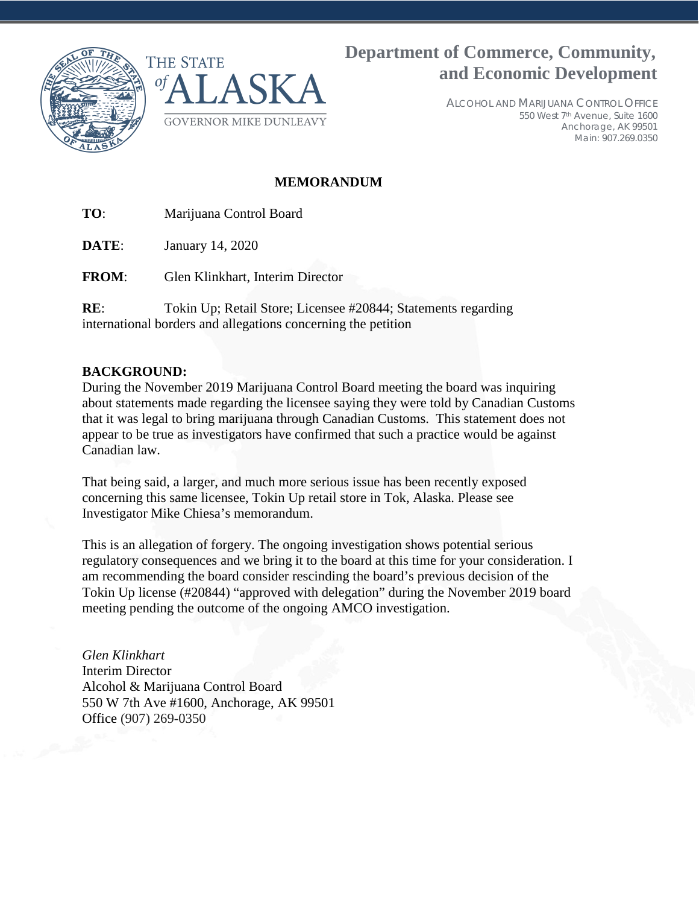



**Department of Commerce, Community, and Economic Development**

> ALCOHOL AND MARIJUANA CONTROL OFFICE 550 West 7th Avenue, Suite 1600 Anchorage, AK 99501 Main: 907.269.0350

### **MEMORANDUM**

**TO**: Marijuana Control Board

**DATE**: January 14, 2020

**FROM**: Glen Klinkhart, Interim Director

**RE**: Tokin Up; Retail Store; Licensee #20844; Statements regarding international borders and allegations concerning the petition

#### **BACKGROUND:**

During the November 2019 Marijuana Control Board meeting the board was inquiring about statements made regarding the licensee saying they were told by Canadian Customs that it was legal to bring marijuana through Canadian Customs. This statement does not appear to be true as investigators have confirmed that such a practice would be against Canadian law.

That being said, a larger, and much more serious issue has been recently exposed concerning this same licensee, Tokin Up retail store in Tok, Alaska. Please see Investigator Mike Chiesa's memorandum.

This is an allegation of forgery. The ongoing investigation shows potential serious regulatory consequences and we bring it to the board at this time for your consideration. I am recommending the board consider rescinding the board's previous decision of the Tokin Up license (#20844) "approved with delegation" during the November 2019 board meeting pending the outcome of the ongoing AMCO investigation.

*Glen Klinkhart* Interim Director Alcohol & Marijuana Control Board 550 W 7th Ave #1600, Anchorage, AK 99501 Office (907) 269-0350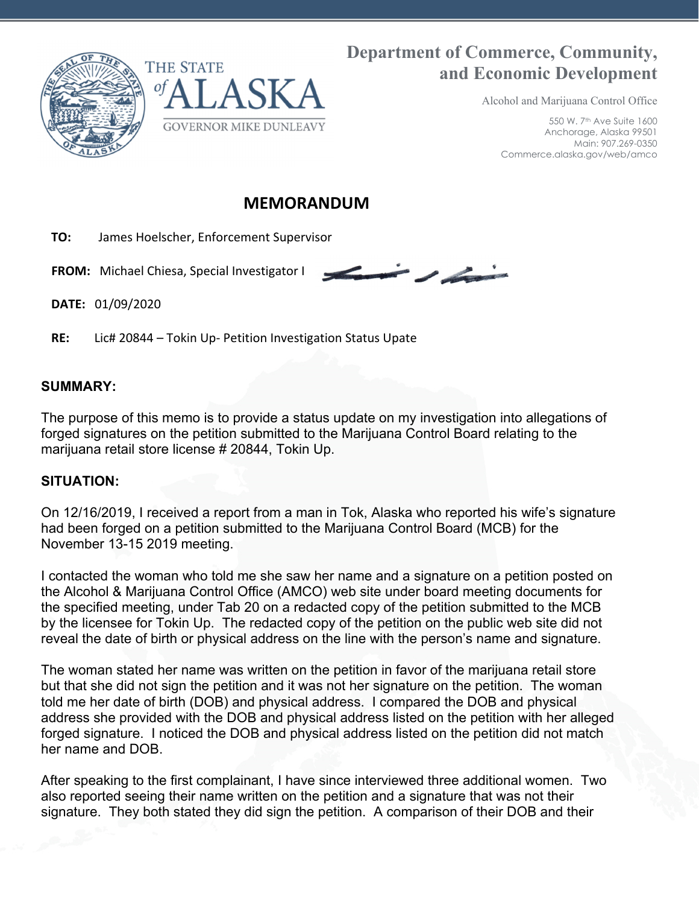

# **Department of Commerce, Community, and Economic Development**

 $\overline{\phantom{a}}$ 

Alcohol and Marijuana Control Office

550 W. 7th Ave Suite 1600 Anchorage, Alaska 99501 Main: 907.269-0350 Commerce.alaska.gov/web/amco

## **MEMORANDUM**

 **TO:** James Hoelscher, Enforcement Supervisor

 **FROM:** Michael Chiesa, Special Investigator I

**DATE:** 01/09/2020

**RE:** Lic# 20844 – Tokin Up‐ Petition Investigation Status Upate

### **SUMMARY:**

The purpose of this memo is to provide a status update on my investigation into allegations of forged signatures on the petition submitted to the Marijuana Control Board relating to the marijuana retail store license # 20844, Tokin Up.

### **SITUATION:**

On 12/16/2019, I received a report from a man in Tok, Alaska who reported his wife's signature had been forged on a petition submitted to the Marijuana Control Board (MCB) for the November 13-15 2019 meeting.

I contacted the woman who told me she saw her name and a signature on a petition posted on the Alcohol & Marijuana Control Office (AMCO) web site under board meeting documents for the specified meeting, under Tab 20 on a redacted copy of the petition submitted to the MCB by the licensee for Tokin Up. The redacted copy of the petition on the public web site did not reveal the date of birth or physical address on the line with the person's name and signature.

The woman stated her name was written on the petition in favor of the marijuana retail store but that she did not sign the petition and it was not her signature on the petition. The woman told me her date of birth (DOB) and physical address. I compared the DOB and physical address she provided with the DOB and physical address listed on the petition with her alleged forged signature. I noticed the DOB and physical address listed on the petition did not match her name and DOB.

After speaking to the first complainant, I have since interviewed three additional women. Two also reported seeing their name written on the petition and a signature that was not their signature. They both stated they did sign the petition. A comparison of their DOB and their